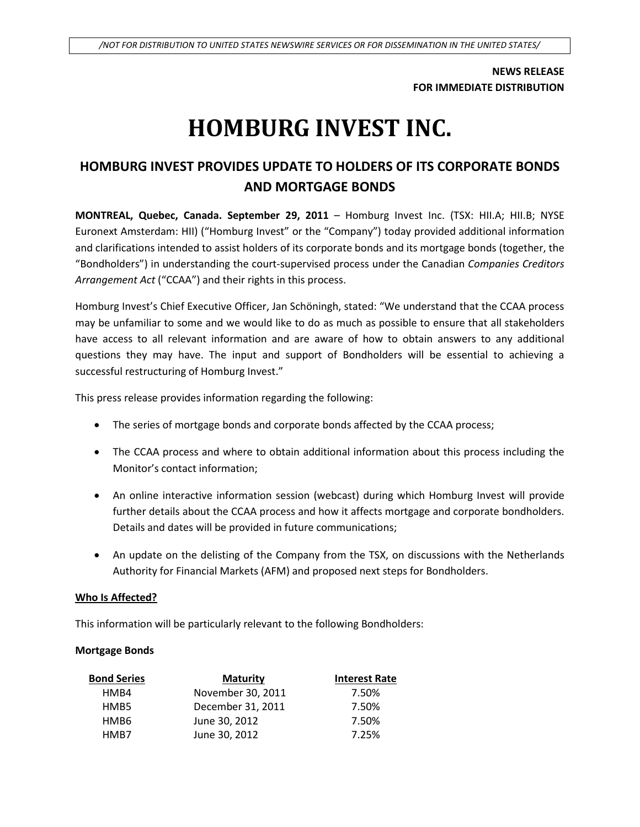**NEWS RELEASE FOR IMMEDIATE DISTRIBUTION**

# **HOMBURG INVEST INC.**

# **HOMBURG INVEST PROVIDES UPDATE TO HOLDERS OF ITS CORPORATE BONDS AND MORTGAGE BONDS**

**MONTREAL, Quebec, Canada. September 29, 2011** – Homburg Invest Inc. (TSX: HII.A; HII.B; NYSE Euronext Amsterdam: HII) ("Homburg Invest" or the "Company") today provided additional information and clarifications intended to assist holders of its corporate bonds and its mortgage bonds (together, the "Bondholders") in understanding the court-supervised process under the Canadian *Companies Creditors Arrangement Act* ("CCAA") and their rights in this process.

Homburg Invest's Chief Executive Officer, Jan Schöningh, stated: "We understand that the CCAA process may be unfamiliar to some and we would like to do as much as possible to ensure that all stakeholders have access to all relevant information and are aware of how to obtain answers to any additional questions they may have. The input and support of Bondholders will be essential to achieving a successful restructuring of Homburg Invest."

This press release provides information regarding the following:

- The series of mortgage bonds and corporate bonds affected by the CCAA process;
- The CCAA process and where to obtain additional information about this process including the Monitor's contact information;
- An online interactive information session (webcast) during which Homburg Invest will provide further details about the CCAA process and how it affects mortgage and corporate bondholders. Details and dates will be provided in future communications;
- An update on the delisting of the Company from the TSX, on discussions with the Netherlands Authority for Financial Markets (AFM) and proposed next steps for Bondholders.

# **Who Is Affected?**

This information will be particularly relevant to the following Bondholders:

# **Mortgage Bonds**

| Bond Series      | <b>Maturity</b>   | <b>Interest Rate</b> |
|------------------|-------------------|----------------------|
| HM <sub>B4</sub> | November 30, 2011 | 7.50%                |
| HMB5             | December 31, 2011 | 7.50%                |
| HMB6             | June 30, 2012     | 7.50%                |
| HMR7             | June 30, 2012     | 7.25%                |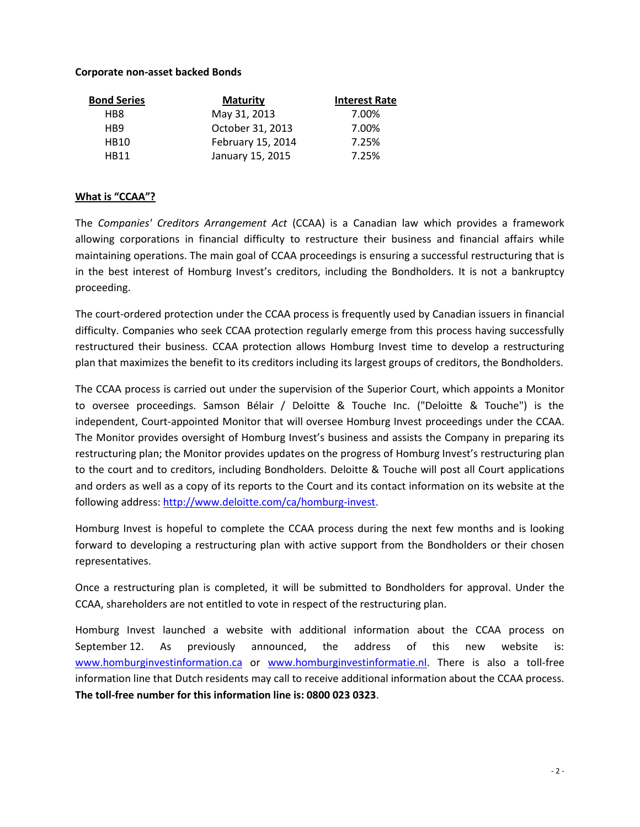# **Corporate non-asset backed Bonds**

| <b>Bond Series</b> | <b>Maturity</b>   | <b>Interest Rate</b> |
|--------------------|-------------------|----------------------|
| HB8                | May 31, 2013      | 7.00%                |
| H <sub>R</sub> 9   | October 31, 2013  | 7.00%                |
| <b>HB10</b>        | February 15, 2014 | 7.25%                |
| <b>HR11</b>        | January 15, 2015  | 7.25%                |

# **What is "CCAA"?**

The *Companies' Creditors Arrangement Act* (CCAA) is a Canadian law which provides a framework allowing corporations in financial difficulty to restructure their business and financial affairs while maintaining operations. The main goal of CCAA proceedings is ensuring a successful restructuring that is in the best interest of Homburg Invest's creditors, including the Bondholders. It is not a bankruptcy proceeding.

The court-ordered protection under the CCAA process is frequently used by Canadian issuers in financial difficulty. Companies who seek CCAA protection regularly emerge from this process having successfully restructured their business. CCAA protection allows Homburg Invest time to develop a restructuring plan that maximizes the benefit to its creditors including its largest groups of creditors, the Bondholders.

The CCAA process is carried out under the supervision of the Superior Court, which appoints a Monitor to oversee proceedings. Samson Bélair / Deloitte & Touche Inc. ("Deloitte & Touche") is the independent, Court-appointed Monitor that will oversee Homburg Invest proceedings under the CCAA. The Monitor provides oversight of Homburg Invest's business and assists the Company in preparing its restructuring plan; the Monitor provides updates on the progress of Homburg Invest's restructuring plan to the court and to creditors, including Bondholders. Deloitte & Touche will post all Court applications and orders as well as a copy of its reports to the Court and its contact information on its website at the following address: [http://www.deloitte.com/ca/homburg-invest.](http://www.deloitte.com/ca/homburg-invest)

Homburg Invest is hopeful to complete the CCAA process during the next few months and is looking forward to developing a restructuring plan with active support from the Bondholders or their chosen representatives.

Once a restructuring plan is completed, it will be submitted to Bondholders for approval. Under the CCAA, shareholders are not entitled to vote in respect of the restructuring plan.

Homburg Invest launched a website with additional information about the CCAA process on September 12. As previously announced, the address of this new website is: [www.homburginvestinformation.ca](http://www.homburginvestinformation.ca/) or [www.homburginvestinformatie.nl.](http://www.homburginvestinformatie.nl/) There is also a toll-free information line that Dutch residents may call to receive additional information about the CCAA process. **The toll-free number for this information line is: 0800 023 0323**.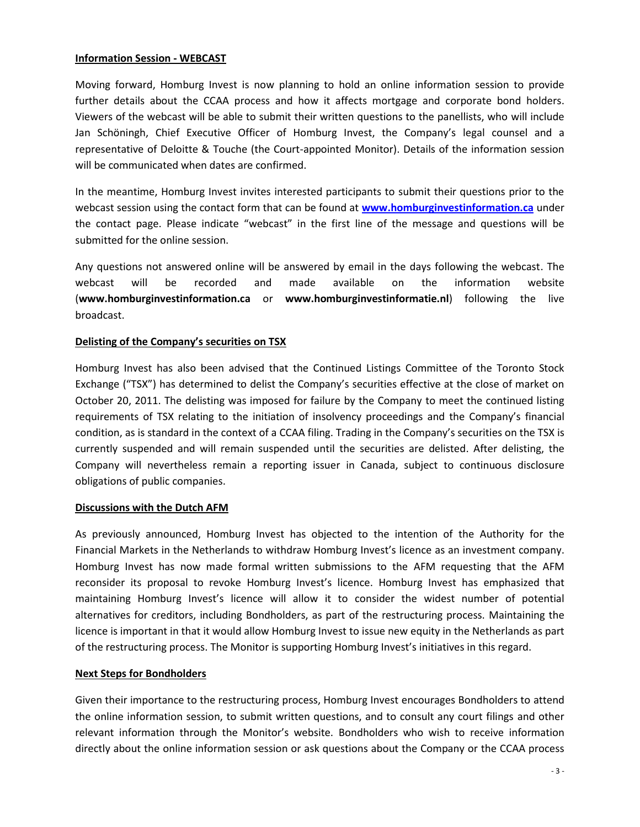#### **Information Session - WEBCAST**

Moving forward, Homburg Invest is now planning to hold an online information session to provide further details about the CCAA process and how it affects mortgage and corporate bond holders. Viewers of the webcast will be able to submit their written questions to the panellists, who will include Jan Schöningh, Chief Executive Officer of Homburg Invest, the Company's legal counsel and a representative of Deloitte & Touche (the Court-appointed Monitor). Details of the information session will be communicated when dates are confirmed.

In the meantime, Homburg Invest invites interested participants to submit their questions prior to the webcast session using the contact form that can be found at **[www.homburginvestinformation.ca](http://www.homburginvestinformation.ca/)** under the contact page. Please indicate "webcast" in the first line of the message and questions will be submitted for the online session.

Any questions not answered online will be answered by email in the days following the webcast. The webcast will be recorded and made available on the information website (**www.homburginvestinformation.ca** or **www.homburginvestinformatie.nl**) following the live broadcast.

# **Delisting of the Company's securities on TSX**

Homburg Invest has also been advised that the Continued Listings Committee of the Toronto Stock Exchange ("TSX") has determined to delist the Company's securities effective at the close of market on October 20, 2011. The delisting was imposed for failure by the Company to meet the continued listing requirements of TSX relating to the initiation of insolvency proceedings and the Company's financial condition, as is standard in the context of a CCAA filing. Trading in the Company's securities on the TSX is currently suspended and will remain suspended until the securities are delisted. After delisting, the Company will nevertheless remain a reporting issuer in Canada, subject to continuous disclosure obligations of public companies.

# **Discussions with the Dutch AFM**

As previously announced, Homburg Invest has objected to the intention of the Authority for the Financial Markets in the Netherlands to withdraw Homburg Invest's licence as an investment company. Homburg Invest has now made formal written submissions to the AFM requesting that the AFM reconsider its proposal to revoke Homburg Invest's licence. Homburg Invest has emphasized that maintaining Homburg Invest's licence will allow it to consider the widest number of potential alternatives for creditors, including Bondholders, as part of the restructuring process. Maintaining the licence is important in that it would allow Homburg Invest to issue new equity in the Netherlands as part of the restructuring process. The Monitor is supporting Homburg Invest's initiatives in this regard.

# **Next Steps for Bondholders**

Given their importance to the restructuring process, Homburg Invest encourages Bondholders to attend the online information session, to submit written questions, and to consult any court filings and other relevant information through the Monitor's website. Bondholders who wish to receive information directly about the online information session or ask questions about the Company or the CCAA process